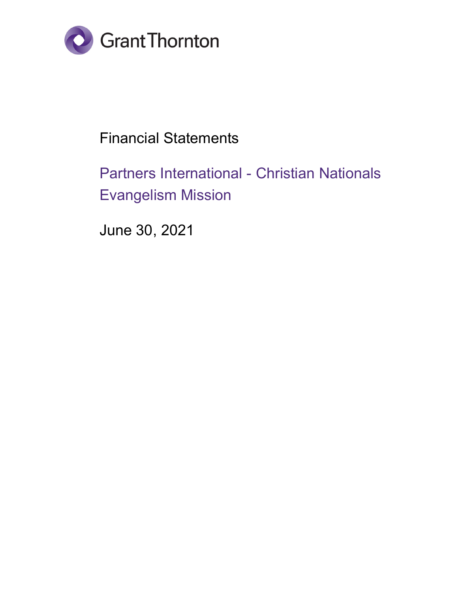

## Financial Statements

# Partners International - Christian Nationals Evangelism Mission

June 30, 2021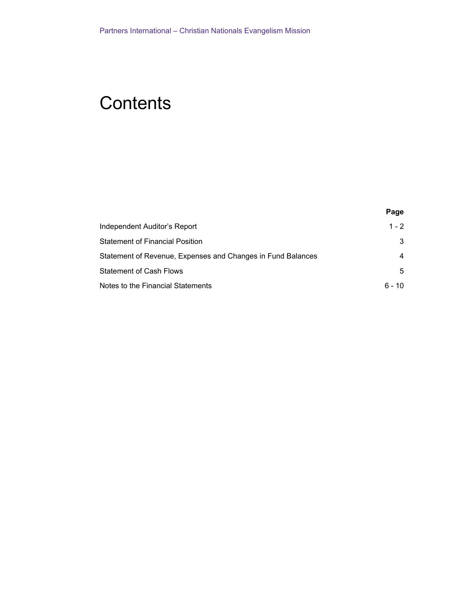# **Contents**

|                                                             | Page     |
|-------------------------------------------------------------|----------|
| Independent Auditor's Report                                | $1 - 2$  |
| Statement of Financial Position                             | 3        |
| Statement of Revenue, Expenses and Changes in Fund Balances | 4        |
| Statement of Cash Flows                                     | 5        |
| Notes to the Financial Statements                           | $6 - 10$ |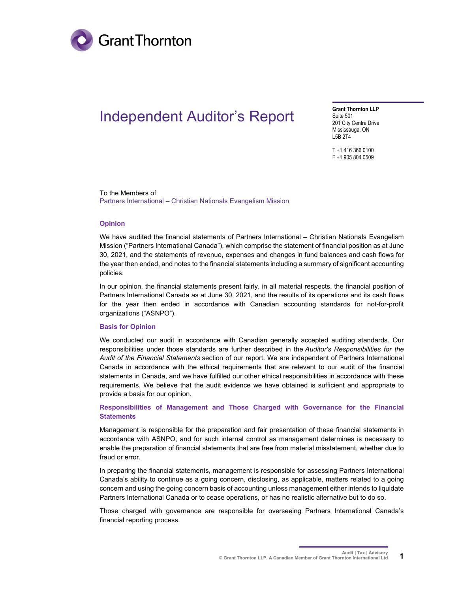

## Independent Auditor's Report

**Grant Thornton LLP**  Suite 501 201 City Centre Drive Mississauga, ON L5B 2T4

T +1 416 366 0100 F +1 905 804 0509

To the Members of Partners International – Christian Nationals Evangelism Mission

#### **Opinion**

We have audited the financial statements of Partners International – Christian Nationals Evangelism Mission ("Partners International Canada"), which comprise the statement of financial position as at June 30, 2021, and the statements of revenue, expenses and changes in fund balances and cash flows for the year then ended, and notes to the financial statements including a summary of significant accounting policies.

In our opinion, the financial statements present fairly, in all material respects, the financial position of Partners International Canada as at June 30, 2021, and the results of its operations and its cash flows for the year then ended in accordance with Canadian accounting standards for not-for-profit organizations ("ASNPO").

#### **Basis for Opinion**

We conducted our audit in accordance with Canadian generally accepted auditing standards. Our responsibilities under those standards are further described in the *Auditor's Responsibilities for the Audit of the Financial Statements* section of our report. We are independent of Partners International Canada in accordance with the ethical requirements that are relevant to our audit of the financial statements in Canada, and we have fulfilled our other ethical responsibilities in accordance with these requirements. We believe that the audit evidence we have obtained is sufficient and appropriate to provide a basis for our opinion.

#### **Responsibilities of Management and Those Charged with Governance for the Financial Statements**

Management is responsible for the preparation and fair presentation of these financial statements in accordance with ASNPO, and for such internal control as management determines is necessary to enable the preparation of financial statements that are free from material misstatement, whether due to fraud or error.

In preparing the financial statements, management is responsible for assessing Partners International Canada's ability to continue as a going concern, disclosing, as applicable, matters related to a going concern and using the going concern basis of accounting unless management either intends to liquidate Partners International Canada or to cease operations, or has no realistic alternative but to do so.

Those charged with governance are responsible for overseeing Partners International Canada's financial reporting process.

> **Audit | Tax | Advisory © Grant Thornton LLP. A Canadian Member of Grant Thornton International Ltd 1**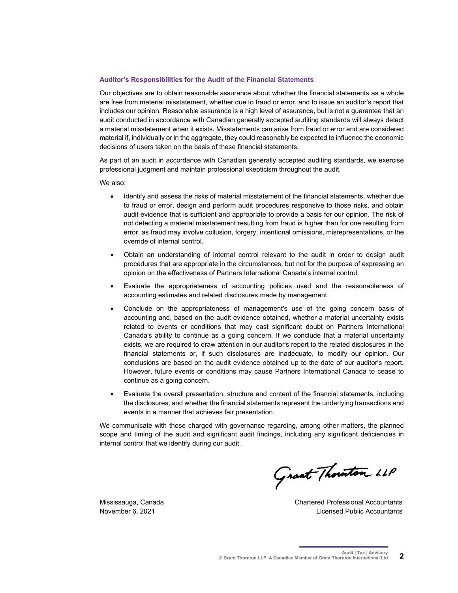#### **Auditor's Responsibilities for the Audit of the Financial Statements**

Our objectives are to obtain reasonable assurance about whether the financial statements as a whole are free from material misstatement, whether due to fraud or error, and to issue an auditor's report that includes our opinion. Reasonable assurance is a high level of assurance, but is not a guarantee that an audit conducted in accordance with Canadian generally accepted auditing standards will always detect a material misstatement when it exists. Misstatements can arise from fraud or error and are considered material if, individually or in the aggregate, they could reasonably be expected to influence the economic decisions of users taken on the basis of these financial statements.

As part of an audit in accordance with Canadian generally accepted auditing standards, we exercise professional judgment and maintain professional skepticism throughout the audit.

We also:

- Identify and assess the risks of material misstatement of the financial statements, whether due to fraud or error, design and perform audit procedures responsive to those risks, and obtain audit evidence that is sufficient and appropriate to provide a basis for our opinion. The risk of not detecting a material misstatement resulting from fraud is higher than for one resulting from error, as fraud may involve collusion, forgery, intentional omissions, misrepresentations, or the override of internal control.
- Obtain an understanding of internal control relevant to the audit in order to design audit procedures that are appropriate in the circumstances, but not for the purpose of expressing an opinion on the effectiveness of Partners International Canada's internal control.
- Evaluate the appropriateness of accounting policies used and the reasonableness of accounting estimates and related disclosures made by management.
- Conclude on the appropriateness of management's use of the going concern basis of accounting and, based on the audit evidence obtained, whether a material uncertainty exists related to events or conditions that may cast significant doubt on Partners International Canada's ability to continue as a going concern. If we conclude that a material uncertainty exists, we are required to draw attention in our auditor's report to the related disclosures in the financial statements or, if such disclosures are inadequate, to modify our opinion. Our conclusions are based on the audit evidence obtained up to the date of our auditor's report. However, future events or conditions may cause Partners International Canada to cease to continue as a going concern.
- Evaluate the overall presentation, structure and content of the financial statements, including the disclosures, and whether the financial statements represent the underlying transactions and events in a manner that achieves fair presentation.

We communicate with those charged with governance regarding, among other matters, the planned scope and timing of the audit and significant audit findings, including any significant deficiencies in internal control that we identify during our audit.

Grant Thouton LLP

Mississauga, Canada Chartered Professional Accountants November 6, 2021 Licensed Public Accountants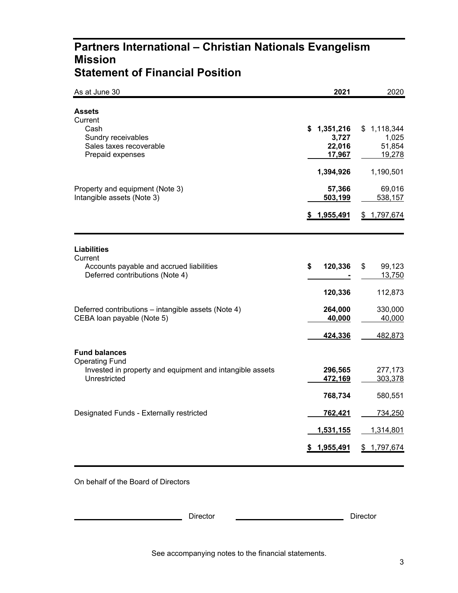## **Partners International – Christian Nationals Evangelism Mission Statement of Financial Position**

| As at June 30                                                                                                             | 2021                                           | 2020                                              |
|---------------------------------------------------------------------------------------------------------------------------|------------------------------------------------|---------------------------------------------------|
| <b>Assets</b><br>Current<br>Cash<br>Sundry receivables<br>Sales taxes recoverable<br>Prepaid expenses                     | \$1,351,216<br>3,727<br>22,016<br>17,967       | 1,118,344<br>\$<br>1,025<br>51,854<br>19,278      |
| Property and equipment (Note 3)<br>Intangible assets (Note 3)                                                             | 1,394,926<br>57,366<br>503,199<br>\$1,955,491  | 1,190,501<br>69,016<br>538,157<br>1,797,674<br>\$ |
| <b>Liabilities</b><br>Current<br>Accounts payable and accrued liabilities<br>Deferred contributions (Note 4)              | 120,336<br>\$                                  | \$<br>99,123<br>13,750                            |
| Deferred contributions - intangible assets (Note 4)<br>CEBA loan payable (Note 5)                                         | 120,336<br>264,000<br>40,000<br>424,336        | 112,873<br>330,000<br>40,000<br>482,873           |
| <b>Fund balances</b><br><b>Operating Fund</b><br>Invested in property and equipment and intangible assets<br>Unrestricted | 296,565<br>472,169<br>768,734                  | 277,173<br>303,378<br>580,551                     |
| Designated Funds - Externally restricted                                                                                  | 762,421<br>1,531,155<br><u>1,955,491</u><br>S. | 734,250<br>1,314,801<br>1,797,674<br>\$           |

On behalf of the Board of Directors

Director **CONSIDERENT DIRECTOR** Director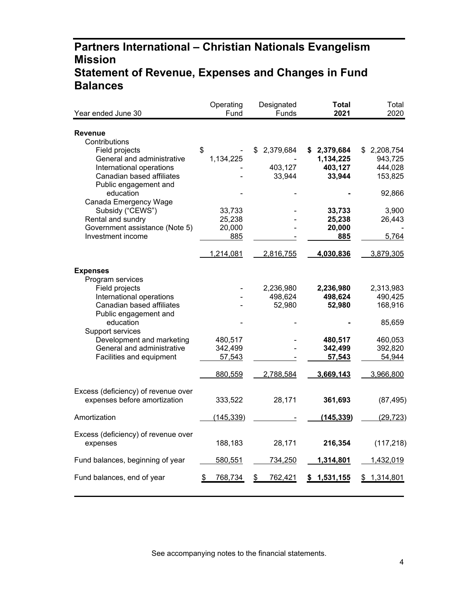## **Partners International – Christian Nationals Evangelism Mission Statement of Revenue, Expenses and Changes in Fund Balances**

| Year ended June 30                                    |    | Operating<br>Fund | Designated<br>Funds | <b>Total</b><br>2021 | Total<br>2020      |
|-------------------------------------------------------|----|-------------------|---------------------|----------------------|--------------------|
| Revenue<br>Contributions                              |    |                   |                     |                      |                    |
| Field projects                                        | \$ |                   | 2,379,684<br>\$     | \$<br>2,379,684      | \$<br>2,208,754    |
| General and administrative                            |    | 1,134,225         |                     | 1,134,225            | 943,725            |
| International operations<br>Canadian based affiliates |    |                   | 403,127<br>33,944   | 403,127<br>33,944    | 444,028<br>153,825 |
| Public engagement and                                 |    |                   |                     |                      |                    |
| education                                             |    |                   |                     |                      | 92,866             |
| Canada Emergency Wage                                 |    |                   |                     |                      |                    |
| Subsidy ("CEWS")                                      |    | 33,733            |                     | 33,733               | 3,900              |
| Rental and sundry                                     |    | 25,238            |                     | 25,238               | 26,443             |
| Government assistance (Note 5)                        |    | 20,000            |                     | 20,000               |                    |
| Investment income                                     |    | 885               |                     | 885                  | 5,764              |
|                                                       |    | 1,214,081         | 2,816,755           | 4,030,836            | 3,879,305          |
|                                                       |    |                   |                     |                      |                    |
| <b>Expenses</b><br>Program services                   |    |                   |                     |                      |                    |
| Field projects                                        |    |                   | 2,236,980           | 2,236,980            | 2,313,983          |
| International operations                              |    |                   | 498,624             | 498,624              | 490,425            |
| Canadian based affiliates                             |    |                   | 52,980              | 52,980               | 168,916            |
| Public engagement and                                 |    |                   |                     |                      |                    |
| education<br>Support services                         |    |                   |                     |                      | 85,659             |
| Development and marketing                             |    | 480,517           |                     | 480,517              | 460,053            |
| General and administrative                            |    | 342,499           |                     | 342,499              | 392,820            |
| Facilities and equipment                              |    | 57,543            |                     | 57,543               | 54,944             |
|                                                       |    |                   |                     |                      |                    |
|                                                       |    | 880,559           | 2,788,584           | 3,669,143            | 3,966,800          |
| Excess (deficiency) of revenue over                   |    |                   |                     |                      |                    |
| expenses before amortization                          |    | 333,522           | 28,171              | 361,693              | (87, 495)          |
|                                                       |    |                   |                     |                      |                    |
| Amortization                                          |    | (145, 339)        |                     | (145, 339)           | (29, 723)          |
| Excess (deficiency) of revenue over<br>expenses       |    | 188,183           | 28,171              | 216,354              | (117, 218)         |
| Fund balances, beginning of year                      |    | 580,551           | 734,250             | 1,314,801            | 1,432,019          |
| Fund balances, end of year                            | S  | 768,734           | 762,421             | \$<br>1,531,155      | 1,314,801<br>S.    |
|                                                       |    |                   |                     |                      |                    |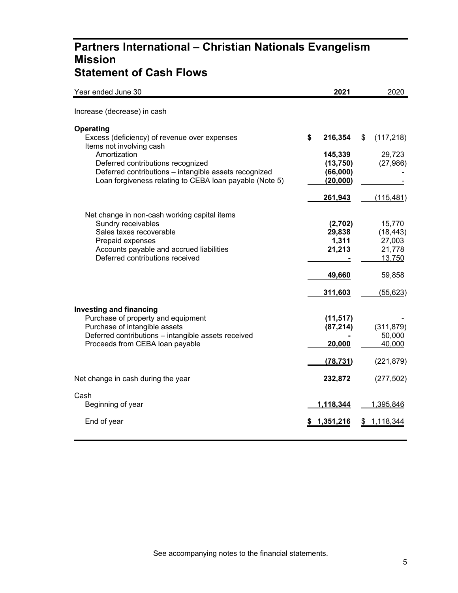## **Partners International – Christian Nationals Evangelism Mission Statement of Cash Flows**

| Year ended June 30                                                                                                                                                                               | 2021                                        |    | 2020                                              |
|--------------------------------------------------------------------------------------------------------------------------------------------------------------------------------------------------|---------------------------------------------|----|---------------------------------------------------|
| Increase (decrease) in cash                                                                                                                                                                      |                                             |    |                                                   |
| <b>Operating</b><br>Excess (deficiency) of revenue over expenses<br>Items not involving cash                                                                                                     | \$<br>216,354                               | \$ | (117, 218)                                        |
| Amortization<br>Deferred contributions recognized<br>Deferred contributions - intangible assets recognized<br>Loan forgiveness relating to CEBA loan payable (Note 5)                            | 145,339<br>(13,750)<br>(66,000)<br>(20,000) |    | 29,723<br>(27, 986)                               |
|                                                                                                                                                                                                  | 261,943                                     |    | (115, 481)                                        |
| Net change in non-cash working capital items<br>Sundry receivables<br>Sales taxes recoverable<br>Prepaid expenses<br>Accounts payable and accrued liabilities<br>Deferred contributions received | (2,702)<br>29,838<br>1,311<br>21,213        |    | 15,770<br>(18, 443)<br>27,003<br>21,778<br>13,750 |
|                                                                                                                                                                                                  | 49,660                                      |    | 59,858                                            |
|                                                                                                                                                                                                  | 311,603                                     |    | (55, 623)                                         |
| <b>Investing and financing</b><br>Purchase of property and equipment<br>Purchase of intangible assets<br>Deferred contributions - intangible assets received<br>Proceeds from CEBA loan payable  | (11, 517)<br>(87, 214)<br>20,000            |    | (311, 879)<br>50,000<br>40,000                    |
|                                                                                                                                                                                                  | (78, 731)                                   |    | (221, 879)                                        |
| Net change in cash during the year                                                                                                                                                               | 232,872                                     |    | (277, 502)                                        |
| Cash<br>Beginning of year                                                                                                                                                                        | 1,118,344                                   |    | 1,395,846                                         |
| End of year                                                                                                                                                                                      | \$1,351,216                                 | S. | 1,118,344                                         |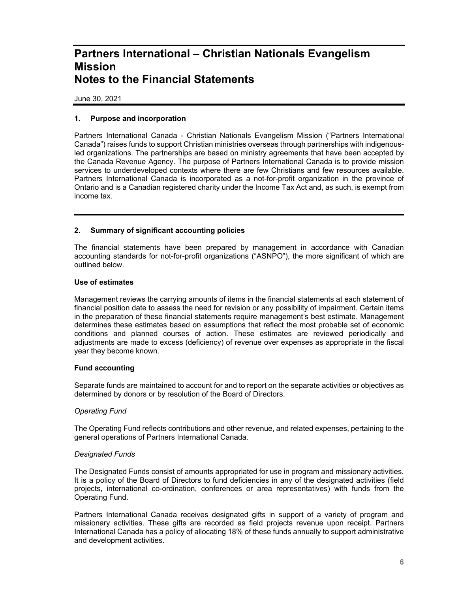June 30, 2021

#### **1. Purpose and incorporation**

Partners International Canada - Christian Nationals Evangelism Mission ("Partners International Canada") raises funds to support Christian ministries overseas through partnerships with indigenousled organizations. The partnerships are based on ministry agreements that have been accepted by the Canada Revenue Agency. The purpose of Partners International Canada is to provide mission services to underdeveloped contexts where there are few Christians and few resources available. Partners International Canada is incorporated as a not-for-profit organization in the province of Ontario and is a Canadian registered charity under the Income Tax Act and, as such, is exempt from income tax.

#### **2. Summary of significant accounting policies**

The financial statements have been prepared by management in accordance with Canadian accounting standards for not-for-profit organizations ("ASNPO"), the more significant of which are outlined below.

#### **Use of estimates**

Management reviews the carrying amounts of items in the financial statements at each statement of financial position date to assess the need for revision or any possibility of impairment. Certain items in the preparation of these financial statements require management's best estimate. Management determines these estimates based on assumptions that reflect the most probable set of economic conditions and planned courses of action. These estimates are reviewed periodically and adjustments are made to excess (deficiency) of revenue over expenses as appropriate in the fiscal year they become known.

#### **Fund accounting**

Separate funds are maintained to account for and to report on the separate activities or objectives as determined by donors or by resolution of the Board of Directors.

#### *Operating Fund*

The Operating Fund reflects contributions and other revenue, and related expenses, pertaining to the general operations of Partners International Canada.

#### *Designated Funds*

The Designated Funds consist of amounts appropriated for use in program and missionary activities. It is a policy of the Board of Directors to fund deficiencies in any of the designated activities (field projects, international co-ordination, conferences or area representatives) with funds from the Operating Fund.

Partners International Canada receives designated gifts in support of a variety of program and missionary activities. These gifts are recorded as field projects revenue upon receipt. Partners International Canada has a policy of allocating 18% of these funds annually to support administrative and development activities.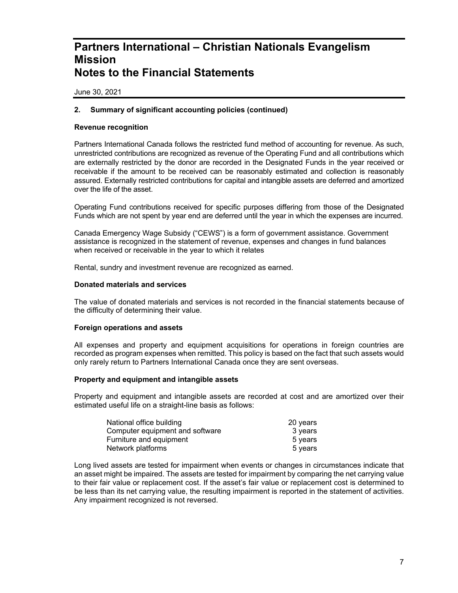#### June 30, 2021

#### **2. Summary of significant accounting policies (continued)**

#### **Revenue recognition**

Partners International Canada follows the restricted fund method of accounting for revenue. As such, unrestricted contributions are recognized as revenue of the Operating Fund and all contributions which are externally restricted by the donor are recorded in the Designated Funds in the year received or receivable if the amount to be received can be reasonably estimated and collection is reasonably assured. Externally restricted contributions for capital and intangible assets are deferred and amortized over the life of the asset.

Operating Fund contributions received for specific purposes differing from those of the Designated Funds which are not spent by year end are deferred until the year in which the expenses are incurred.

Canada Emergency Wage Subsidy ("CEWS") is a form of government assistance. Government assistance is recognized in the statement of revenue, expenses and changes in fund balances when received or receivable in the year to which it relates

Rental, sundry and investment revenue are recognized as earned.

#### **Donated materials and services**

The value of donated materials and services is not recorded in the financial statements because of the difficulty of determining their value.

#### **Foreign operations and assets**

All expenses and property and equipment acquisitions for operations in foreign countries are recorded as program expenses when remitted. This policy is based on the fact that such assets would only rarely return to Partners International Canada once they are sent overseas.

#### **Property and equipment and intangible assets**

Property and equipment and intangible assets are recorded at cost and are amortized over their estimated useful life on a straight-line basis as follows:

| National office building        | 20 years |
|---------------------------------|----------|
| Computer equipment and software | 3 years  |
| Furniture and equipment         | 5 years  |
| Network platforms               | 5 years  |

Long lived assets are tested for impairment when events or changes in circumstances indicate that an asset might be impaired. The assets are tested for impairment by comparing the net carrying value to their fair value or replacement cost. If the asset's fair value or replacement cost is determined to be less than its net carrying value, the resulting impairment is reported in the statement of activities. Any impairment recognized is not reversed.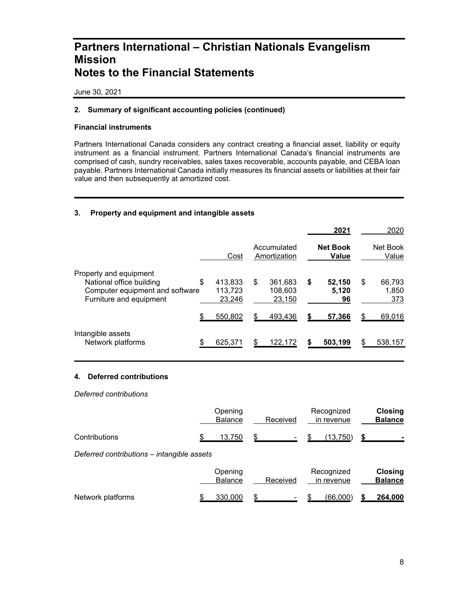#### June 30, 2021

#### **2. Summary of significant accounting policies (continued)**

#### **Financial instruments**

Partners International Canada considers any contract creating a financial asset, liability or equity instrument as a financial instrument. Partners International Canada's financial instruments are comprised of cash, sundry receivables, sales taxes recoverable, accounts payable, and CEBA loan payable. Partners International Canada initially measures its financial assets or liabilities at their fair value and then subsequently at amortized cost.

#### **3. Property and equipment and intangible assets**

|                                                                                                                  |                                    |                                    |   | 2021                            | 2020                         |
|------------------------------------------------------------------------------------------------------------------|------------------------------------|------------------------------------|---|---------------------------------|------------------------------|
|                                                                                                                  | Cost                               | Accumulated<br>Amortization        |   | <b>Net Book</b><br><b>Value</b> | Net Book<br>Value            |
| Property and equipment<br>National office building<br>Computer equipment and software<br>Furniture and equipment | \$<br>413,833<br>113.723<br>23,246 | \$<br>361.683<br>108.603<br>23,150 | S | 52.150<br>5.120<br>96           | \$<br>66,793<br>1,850<br>373 |
|                                                                                                                  | 550,802                            | 493,436                            |   | 57,366                          | 69,016                       |
| Intangible assets<br>Network platforms                                                                           | \$<br>625,371                      | 122.172                            |   | 503,199                         | 538,157                      |

#### **4. Deferred contributions**

*Deferred contributions* 

|                                            | Opening<br><b>Balance</b> | Received | Recognized<br>in revenue | Closing<br><b>Balance</b>        |
|--------------------------------------------|---------------------------|----------|--------------------------|----------------------------------|
| Contributions                              | 13,750                    |          | (13,750)                 |                                  |
| Deferred contributions - intangible assets |                           |          |                          |                                  |
|                                            | Opening<br><b>Balance</b> | Received | Recognized<br>in revenue | <b>Closing</b><br><b>Balance</b> |
| Network platforms                          | 330,000                   |          | (66,000)                 | 264,000                          |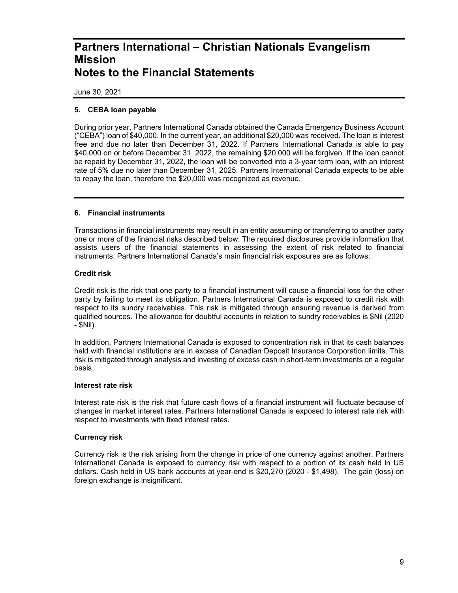June 30, 2021

#### **5. CEBA loan payable**

During prior year, Partners International Canada obtained the Canada Emergency Business Account ("CEBA") loan of \$40,000. In the current year, an additional \$20,000 was received. The loan is interest free and due no later than December 31, 2022. If Partners International Canada is able to pay \$40,000 on or before December 31, 2022, the remaining \$20,000 will be forgiven. If the loan cannot be repaid by December 31, 2022, the loan will be converted into a 3-year term loan, with an interest rate of 5% due no later than December 31, 2025. Partners International Canada expects to be able to repay the loan, therefore the \$20,000 was recognized as revenue.

#### **6. Financial instruments**

Transactions in financial instruments may result in an entity assuming or transferring to another party one or more of the financial risks described below. The required disclosures provide information that assists users of the financial statements in assessing the extent of risk related to financial instruments. Partners International Canada's main financial risk exposures are as follows:

#### **Credit risk**

Credit risk is the risk that one party to a financial instrument will cause a financial loss for the other party by failing to meet its obligation. Partners International Canada is exposed to credit risk with respect to its sundry receivables. This risk is mitigated through ensuring revenue is derived from qualified sources. The allowance for doubtful accounts in relation to sundry receivables is \$Nil (2020 - \$Nil).

In addition, Partners International Canada is exposed to concentration risk in that its cash balances held with financial institutions are in excess of Canadian Deposit Insurance Corporation limits. This risk is mitigated through analysis and investing of excess cash in short-term investments on a regular basis.

#### **Interest rate risk**

Interest rate risk is the risk that future cash flows of a financial instrument will fluctuate because of changes in market interest rates. Partners International Canada is exposed to interest rate risk with respect to investments with fixed interest rates.

#### **Currency risk**

Currency risk is the risk arising from the change in price of one currency against another. Partners International Canada is exposed to currency risk with respect to a portion of its cash held in US dollars. Cash held in US bank accounts at year-end is \$20,270 (2020 - \$1,498). The gain (loss) on foreign exchange is insignificant.